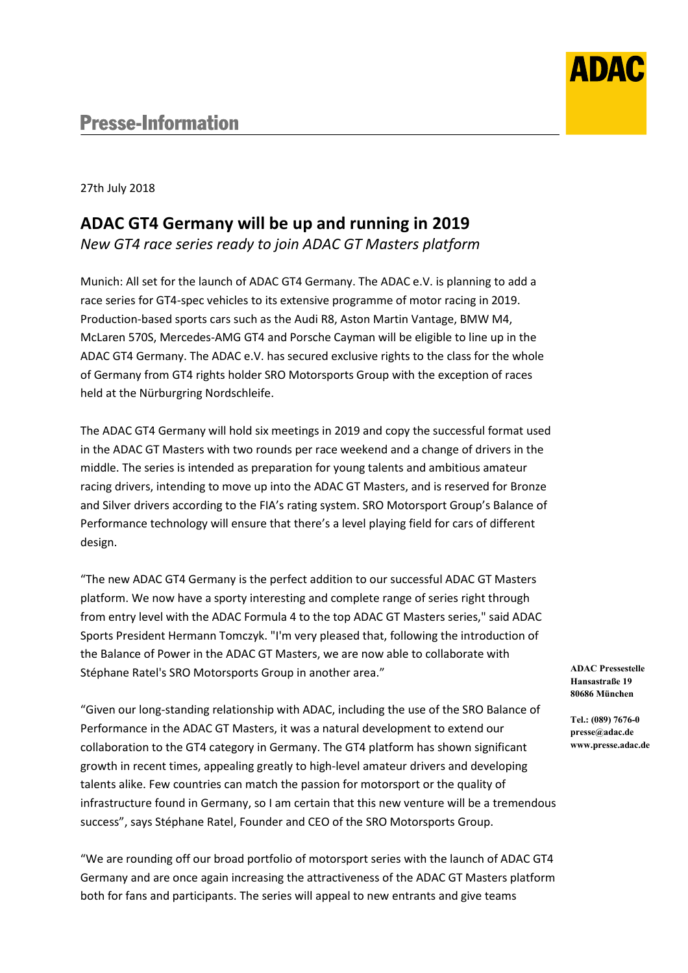

27th July 2018

## **ADAC GT4 Germany will be up and running in 2019**

*New GT4 race series ready to join ADAC GT Masters platform*

Munich: All set for the launch of ADAC GT4 Germany. The ADAC e.V. is planning to add a race series for GT4-spec vehicles to its extensive programme of motor racing in 2019. Production-based sports cars such as the Audi R8, Aston Martin Vantage, BMW M4, McLaren 570S, Mercedes-AMG GT4 and Porsche Cayman will be eligible to line up in the ADAC GT4 Germany. The ADAC e.V. has secured exclusive rights to the class for the whole of Germany from GT4 rights holder SRO Motorsports Group with the exception of races held at the Nürburgring Nordschleife.

The ADAC GT4 Germany will hold six meetings in 2019 and copy the successful format used in the ADAC GT Masters with two rounds per race weekend and a change of drivers in the middle. The series is intended as preparation for young talents and ambitious amateur racing drivers, intending to move up into the ADAC GT Masters, and is reserved for Bronze and Silver drivers according to the FIA's rating system. SRO Motorsport Group's Balance of Performance technology will ensure that there's a level playing field for cars of different design.

"The new ADAC GT4 Germany is the perfect addition to our successful ADAC GT Masters platform. We now have a sporty interesting and complete range of series right through from entry level with the ADAC Formula 4 to the top ADAC GT Masters series," said ADAC Sports President Hermann Tomczyk. "I'm very pleased that, following the introduction of the Balance of Power in the ADAC GT Masters, we are now able to collaborate with Stéphane Ratel's SRO Motorsports Group in another area."

"Given our long-standing relationship with ADAC, including the use of the SRO Balance of Performance in the ADAC GT Masters, it was a natural development to extend our collaboration to the GT4 category in Germany. The GT4 platform has shown significant growth in recent times, appealing greatly to high-level amateur drivers and developing talents alike. Few countries can match the passion for motorsport or the quality of infrastructure found in Germany, so I am certain that this new venture will be a tremendous success", says Stéphane Ratel, Founder and CEO of the SRO Motorsports Group.

"We are rounding off our broad portfolio of motorsport series with the launch of ADAC GT4 Germany and are once again increasing the attractiveness of the ADAC GT Masters platform both for fans and participants. The series will appeal to new entrants and give teams

**ADAC Pressestelle Hansastraße 19 80686 München**

**Tel.: (089) 7676-0 presse@adac.de www.presse.adac.de**